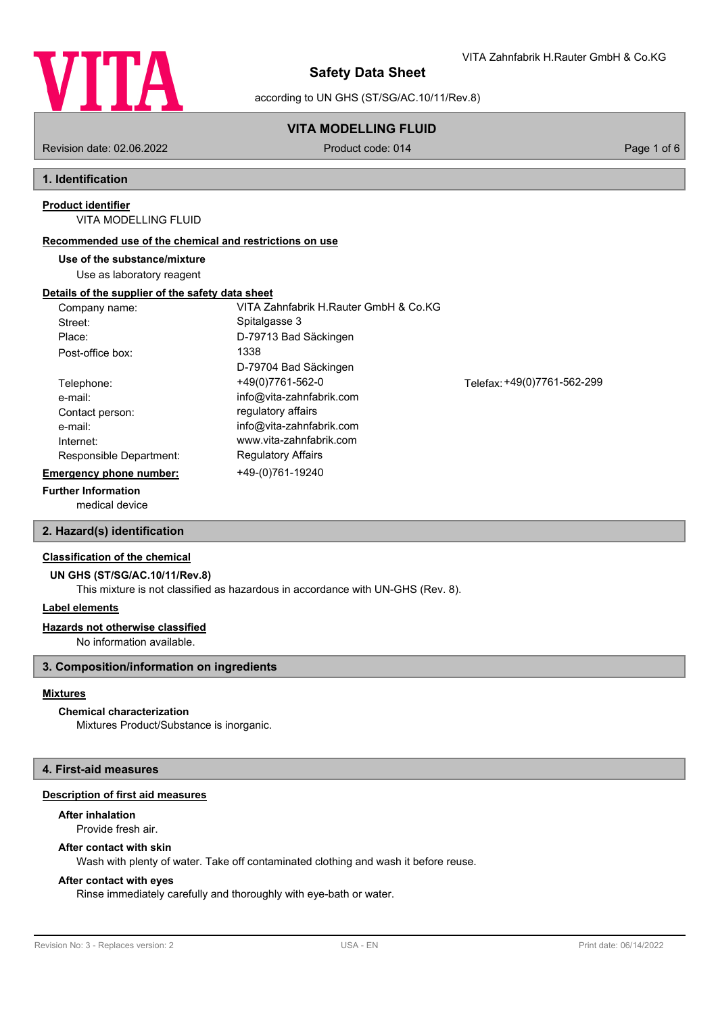

according to UN GHS (ST/SG/AC.10/11/Rev.8)

## **VITA MODELLING FLUID**

Revision date: 02.06.2022 Product code: 014 Page 1 of 6

## **1. Identification**

#### **Product identifier**

VITA MODELLING FLUID

#### **Recommended use of the chemical and restrictions on use**

**Use of the substance/mixture**

Use as laboratory reagent

#### **Details of the supplier of the safety data sheet**

| Company name:                  | VITA Zahnfabrik H.Rauter GmbH & Co.KG |                             |
|--------------------------------|---------------------------------------|-----------------------------|
| Street:                        | Spitalgasse 3                         |                             |
| Place:                         | D-79713 Bad Säckingen                 |                             |
| Post-office box:               | 1338                                  |                             |
|                                | D-79704 Bad Säckingen                 |                             |
| Telephone:                     | +49(0)7761-562-0                      | Telefax: +49(0)7761-562-299 |
| e-mail:                        | info@vita-zahnfabrik.com              |                             |
| Contact person:                | regulatory affairs                    |                             |
| e-mail:                        | info@vita-zahnfabrik.com              |                             |
| Internet:                      | www.vita-zahnfabrik.com               |                             |
| Responsible Department:        | <b>Regulatory Affairs</b>             |                             |
| <b>Emergency phone number:</b> | +49-(0)761-19240                      |                             |
|                                |                                       |                             |

## **Further Information**

medical device

## **2. Hazard(s) identification**

#### **Classification of the chemical**

**UN GHS (ST/SG/AC.10/11/Rev.8)**

This mixture is not classified as hazardous in accordance with UN-GHS (Rev. 8).

#### **Label elements**

#### **Hazards not otherwise classified**

No information available.

## **3. Composition/information on ingredients**

### **Mixtures**

## **Chemical characterization**

Mixtures Product/Substance is inorganic.

## **4. First-aid measures**

## **Description of first aid measures**

# **After inhalation**

Provide fresh air.

## **After contact with skin**

Wash with plenty of water. Take off contaminated clothing and wash it before reuse.

#### **After contact with eyes**

Rinse immediately carefully and thoroughly with eye-bath or water.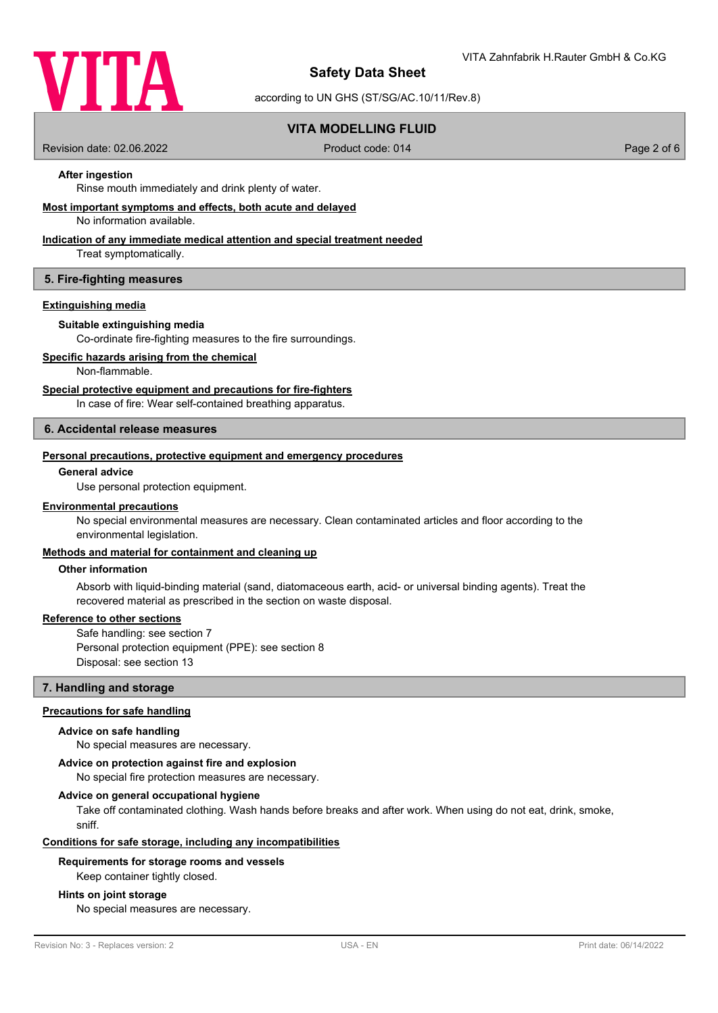

according to UN GHS (ST/SG/AC.10/11/Rev.8)

## **VITA MODELLING FLUID**

Revision date: 02.06.2022 Product code: 014 Page 2 of 6

## **After ingestion**

Rinse mouth immediately and drink plenty of water.

#### **Most important symptoms and effects, both acute and delayed**

No information available.

## **Indication of any immediate medical attention and special treatment needed**

Treat symptomatically.

#### **5. Fire-fighting measures**

#### **Extinguishing media**

#### **Suitable extinguishing media**

Co-ordinate fire-fighting measures to the fire surroundings.

#### **Specific hazards arising from the chemical**

Non-flammable.

#### **Special protective equipment and precautions for fire-fighters**

In case of fire: Wear self-contained breathing apparatus.

#### **6. Accidental release measures**

#### **Personal precautions, protective equipment and emergency procedures**

#### **General advice**

Use personal protection equipment.

#### **Environmental precautions**

No special environmental measures are necessary. Clean contaminated articles and floor according to the environmental legislation.

## **Methods and material for containment and cleaning up**

#### **Other information**

Absorb with liquid-binding material (sand, diatomaceous earth, acid- or universal binding agents). Treat the recovered material as prescribed in the section on waste disposal.

#### **Reference to other sections**

Safe handling: see section 7 Personal protection equipment (PPE): see section 8 Disposal: see section 13

#### **7. Handling and storage**

#### **Precautions for safe handling**

#### **Advice on safe handling**

No special measures are necessary.

#### **Advice on protection against fire and explosion**

No special fire protection measures are necessary.

#### **Advice on general occupational hygiene**

Take off contaminated clothing. Wash hands before breaks and after work. When using do not eat, drink, smoke, sniff.

#### **Conditions for safe storage, including any incompatibilities**

#### **Requirements for storage rooms and vessels**

Keep container tightly closed.

#### **Hints on joint storage**

No special measures are necessary.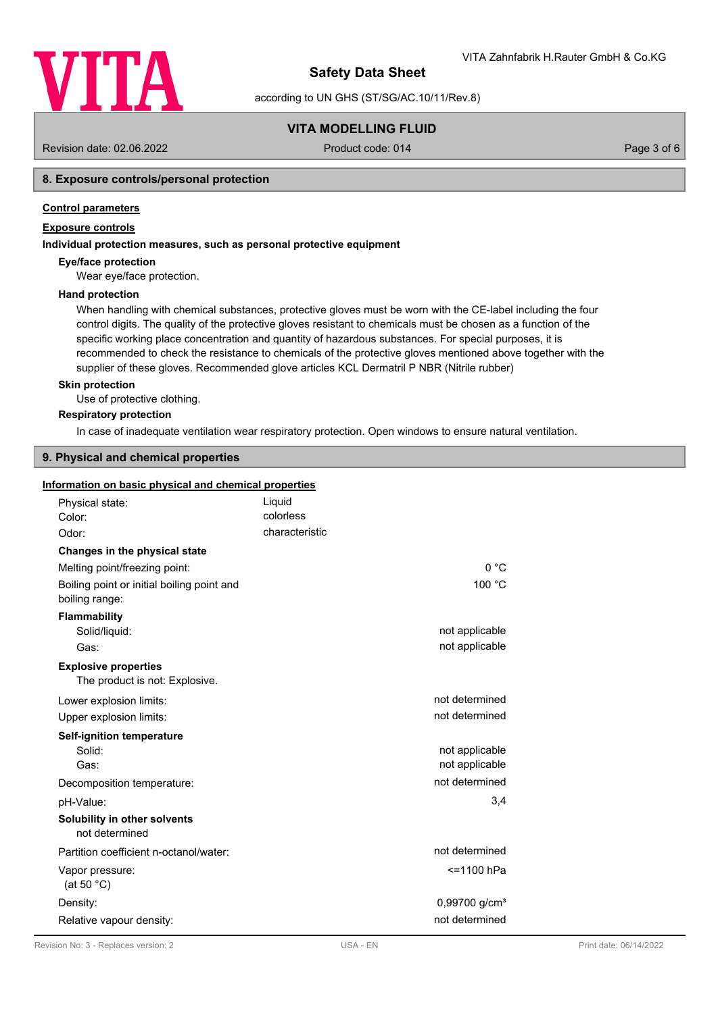

according to UN GHS (ST/SG/AC.10/11/Rev.8)

## **VITA MODELLING FLUID**

Revision date: 02.06.2022 Product code: 014 Page 3 of 6

## **8. Exposure controls/personal protection**

### **Control parameters**

## **Exposure controls**

### **Individual protection measures, such as personal protective equipment**

#### **Eye/face protection**

Wear eye/face protection.

#### **Hand protection**

When handling with chemical substances, protective gloves must be worn with the CE-label including the four control digits. The quality of the protective gloves resistant to chemicals must be chosen as a function of the specific working place concentration and quantity of hazardous substances. For special purposes, it is recommended to check the resistance to chemicals of the protective gloves mentioned above together with the supplier of these gloves. Recommended glove articles KCL Dermatril P NBR (Nitrile rubber)

#### **Skin protection**

Use of protective clothing.

#### **Respiratory protection**

In case of inadequate ventilation wear respiratory protection. Open windows to ensure natural ventilation.

#### **9. Physical and chemical properties**

### **Information on basic physical and chemical properties**

| Physical state:                                               | Liquid         |                           |
|---------------------------------------------------------------|----------------|---------------------------|
| Color:                                                        | colorless      |                           |
| Odor:                                                         | characteristic |                           |
| Changes in the physical state                                 |                |                           |
| Melting point/freezing point:                                 |                | 0°C                       |
| Boiling point or initial boiling point and<br>boiling range:  |                | 100 °C                    |
| <b>Flammability</b>                                           |                |                           |
| Solid/liquid:                                                 |                | not applicable            |
| Gas:                                                          |                | not applicable            |
| <b>Explosive properties</b><br>The product is not: Explosive. |                |                           |
| Lower explosion limits:                                       |                | not determined            |
| Upper explosion limits:                                       |                | not determined            |
| <b>Self-ignition temperature</b>                              |                |                           |
| Solid:                                                        |                | not applicable            |
| Gas:                                                          |                | not applicable            |
| Decomposition temperature:                                    |                | not determined            |
| pH-Value:                                                     |                | 3,4                       |
| Solubility in other solvents<br>not determined                |                |                           |
| Partition coefficient n-octanol/water:                        |                | not determined            |
| Vapor pressure:<br>(at 50 $°C$ )                              |                | <=1100 hPa                |
| Density:                                                      |                | 0,99700 g/cm <sup>3</sup> |
| Relative vapour density:                                      |                |                           |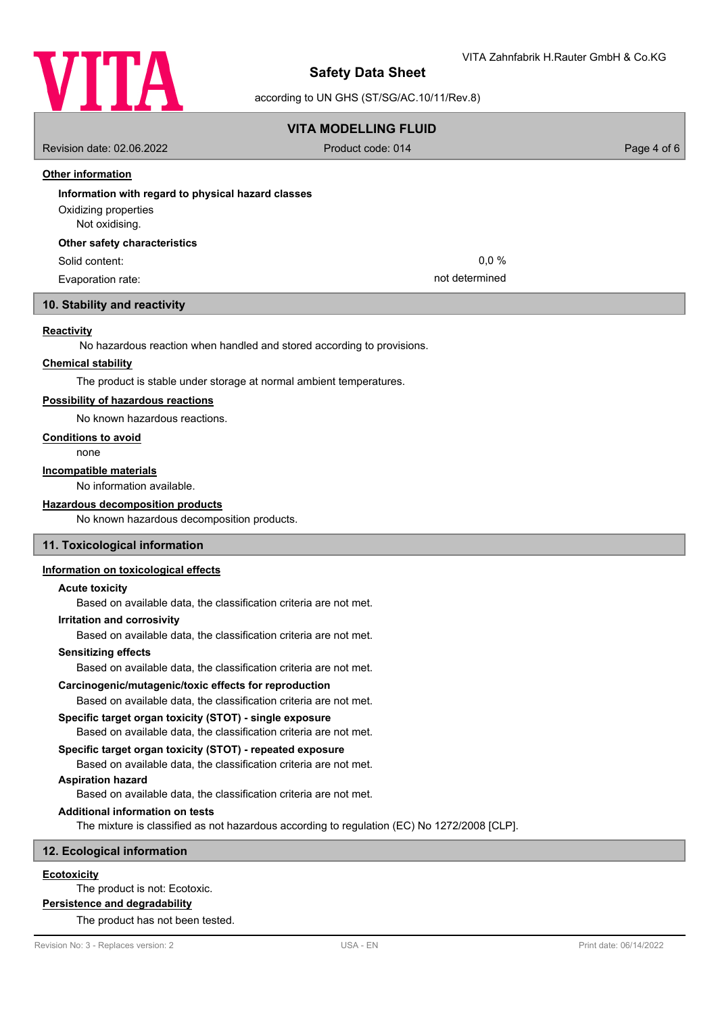

according to UN GHS (ST/SG/AC.10/11/Rev.8)

## **VITA MODELLING FLUID**

Revision date: 02.06.2022 Product code: 014 Page 4 of 6

## **Other information**

| Information with regard to physical hazard classes |                |
|----------------------------------------------------|----------------|
| Oxidizing properties                               |                |
| Not oxidising.                                     |                |
| Other safety characteristics                       |                |
| Solid content:                                     | $0.0\%$        |
| Evaporation rate:                                  | not determined |
|                                                    |                |

## **10. Stability and reactivity**

#### **Reactivity**

No hazardous reaction when handled and stored according to provisions.

#### **Chemical stability**

The product is stable under storage at normal ambient temperatures.

#### **Possibility of hazardous reactions**

No known hazardous reactions.

#### **Conditions to avoid**

none

#### **Incompatible materials**

No information available.

#### **Hazardous decomposition products**

No known hazardous decomposition products.

## **11. Toxicological information**

### **Information on toxicological effects**

#### **Acute toxicity**

Based on available data, the classification criteria are not met.

#### **Irritation and corrosivity**

Based on available data, the classification criteria are not met.

#### **Sensitizing effects**

Based on available data, the classification criteria are not met.

#### **Carcinogenic/mutagenic/toxic effects for reproduction**

Based on available data, the classification criteria are not met.

#### **Specific target organ toxicity (STOT) - single exposure**

Based on available data, the classification criteria are not met.

#### **Specific target organ toxicity (STOT) - repeated exposure**

Based on available data, the classification criteria are not met.

## **Aspiration hazard**

Based on available data, the classification criteria are not met.

## **Additional information on tests**

The mixture is classified as not hazardous according to regulation (EC) No 1272/2008 [CLP].

#### **12. Ecological information**

## **Ecotoxicity**

The product is not: Ecotoxic.

# **Persistence and degradability**

The product has not been tested.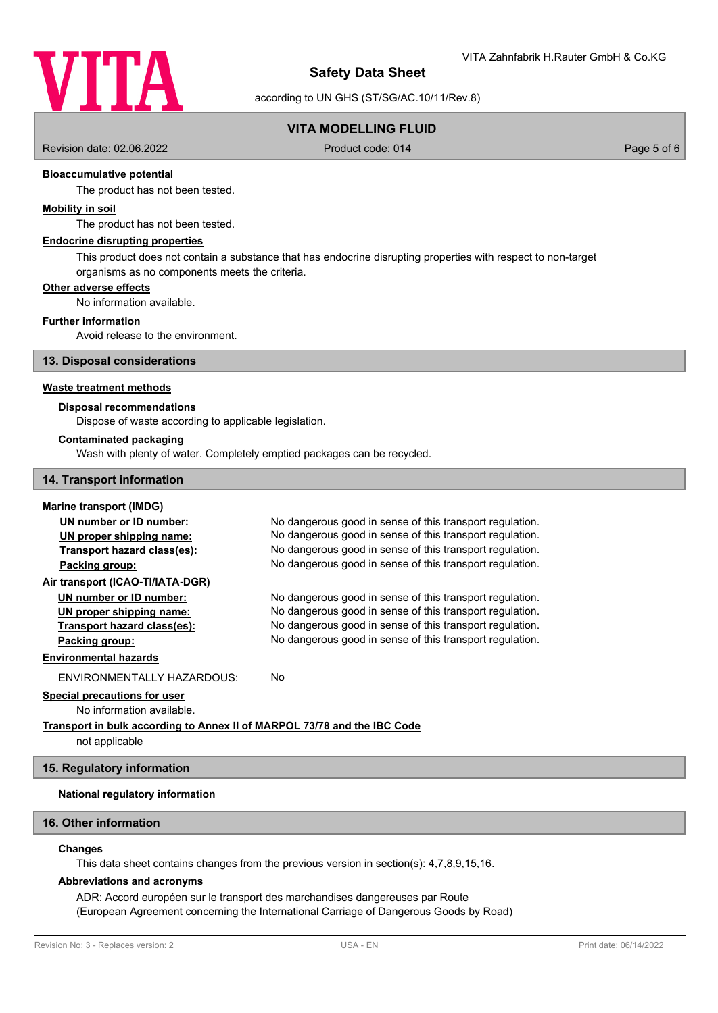

according to UN GHS (ST/SG/AC.10/11/Rev.8)

## **VITA MODELLING FLUID**

Revision date: 02.06.2022 Product code: 014 Page 5 of 6

## **Bioaccumulative potential**

The product has not been tested.

#### **Mobility in soil**

The product has not been tested.

#### **Endocrine disrupting properties**

This product does not contain a substance that has endocrine disrupting properties with respect to non-target organisms as no components meets the criteria.

#### **Other adverse effects**

No information available.

#### **Further information**

Avoid release to the environment.

#### **13. Disposal considerations**

#### **Waste treatment methods**

#### **Disposal recommendations**

Dispose of waste according to applicable legislation.

#### **Contaminated packaging**

Wash with plenty of water. Completely emptied packages can be recycled.

#### **14. Transport information**

## **Marine transport (IMDG)**

| UN number or ID number:                                                  | No dangerous good in sense of this transport regulation. |  |
|--------------------------------------------------------------------------|----------------------------------------------------------|--|
| UN proper shipping name:                                                 | No dangerous good in sense of this transport regulation. |  |
| Transport hazard class(es):                                              | No dangerous good in sense of this transport regulation. |  |
| Packing group:                                                           | No dangerous good in sense of this transport regulation. |  |
| Air transport (ICAO-TI/IATA-DGR)                                         |                                                          |  |
| UN number or ID number:                                                  | No dangerous good in sense of this transport regulation. |  |
| UN proper shipping name:                                                 | No dangerous good in sense of this transport regulation. |  |
| Transport hazard class(es):                                              | No dangerous good in sense of this transport regulation. |  |
| Packing group:                                                           | No dangerous good in sense of this transport regulation. |  |
| <b>Environmental hazards</b>                                             |                                                          |  |
| ENVIRONMENTALLY HAZARDOUS:                                               | No                                                       |  |
| <b>Special precautions for user</b>                                      |                                                          |  |
| No information available.                                                |                                                          |  |
| Transport in bulk according to Annex II of MARPOL 73/78 and the IBC Code |                                                          |  |
| not applicable                                                           |                                                          |  |

# **15. Regulatory information**

#### **National regulatory information**

#### **16. Other information**

## **Changes**

This data sheet contains changes from the previous version in section(s): 4,7,8,9,15,16.

#### **Abbreviations and acronyms**

ADR: Accord européen sur le transport des marchandises dangereuses par Route (European Agreement concerning the International Carriage of Dangerous Goods by Road)